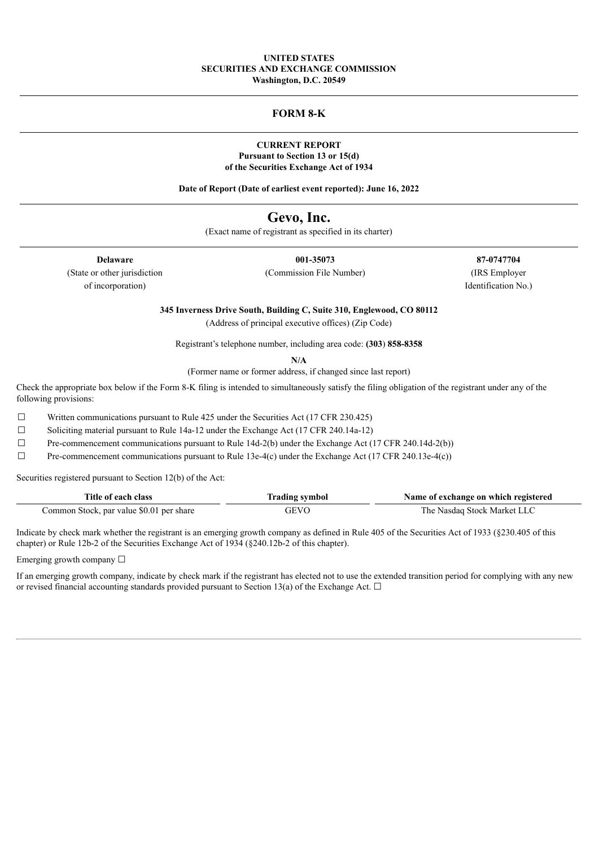### **UNITED STATES SECURITIES AND EXCHANGE COMMISSION Washington, D.C. 20549**

### **FORM 8-K**

#### **CURRENT REPORT Pursuant to Section 13 or 15(d) of the Securities Exchange Act of 1934**

**Date of Report (Date of earliest event reported): June 16, 2022**

# **Gevo, Inc.**

(Exact name of registrant as specified in its charter)

of incorporation) Identification No.)

**Delaware 001-35073 87-0747704** (State or other jurisdiction (Commission File Number) (IRS Employer

**345 Inverness Drive South, Building C, Suite 310, Englewood, CO 80112**

(Address of principal executive offices) (Zip Code)

Registrant's telephone number, including area code: **(303**) **858-8358**

**N/A**

(Former name or former address, if changed since last report)

Check the appropriate box below if the Form 8-K filing is intended to simultaneously satisfy the filing obligation of the registrant under any of the following provisions:

 $\Box$  Written communications pursuant to Rule 425 under the Securities Act (17 CFR 230.425)

☐ Soliciting material pursuant to Rule 14a-12 under the Exchange Act (17 CFR 240.14a-12)

 $\Box$  Pre-commencement communications pursuant to Rule 14d-2(b) under the Exchange Act (17 CFR 240.14d-2(b))

☐ Pre-commencement communications pursuant to Rule 13e-4(c) under the Exchange Act (17 CFR 240.13e-4(c))

Securities registered pursuant to Section 12(b) of the Act:

| Title of each class                      | Trading symbol | Name of exchange on which registered |
|------------------------------------------|----------------|--------------------------------------|
| Common Stock, par value \$0.01 per share | GEVO           | The Nasdag Stock Market LLC          |

Indicate by check mark whether the registrant is an emerging growth company as defined in Rule 405 of the Securities Act of 1933 (§230.405 of this chapter) or Rule 12b-2 of the Securities Exchange Act of 1934 (§240.12b-2 of this chapter).

Emerging growth company  $\Box$ 

If an emerging growth company, indicate by check mark if the registrant has elected not to use the extended transition period for complying with any new or revised financial accounting standards provided pursuant to Section 13(a) of the Exchange Act.  $\Box$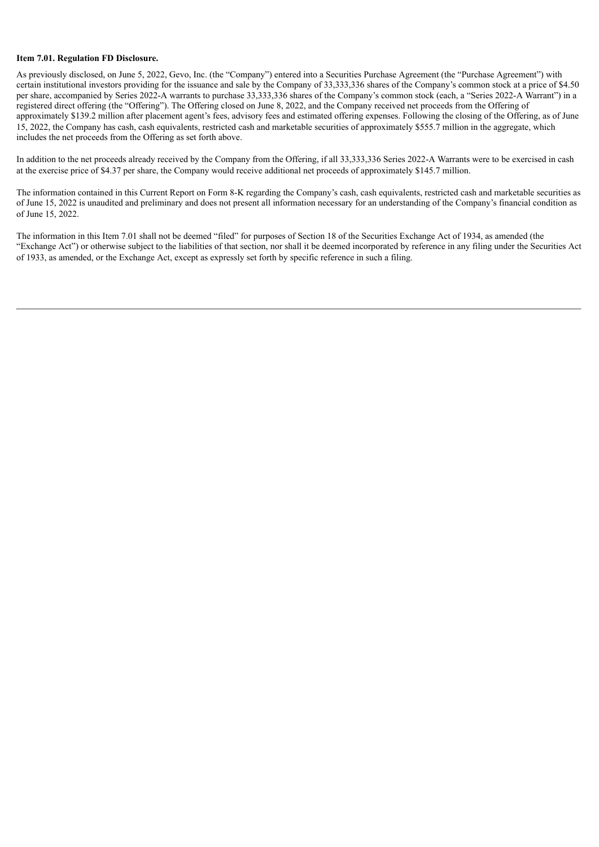#### **Item 7.01. Regulation FD Disclosure.**

As previously disclosed, on June 5, 2022, Gevo, Inc. (the "Company") entered into a Securities Purchase Agreement (the "Purchase Agreement") with certain institutional investors providing for the issuance and sale by the Company of 33,333,336 shares of the Company's common stock at a price of \$4.50 per share, accompanied by Series 2022-A warrants to purchase 33,333,336 shares of the Company's common stock (each, a "Series 2022-A Warrant") in a registered direct offering (the "Offering"). The Offering closed on June 8, 2022, and the Company received net proceeds from the Offering of approximately \$139.2 million after placement agent's fees, advisory fees and estimated offering expenses. Following the closing of the Offering, as of June 15, 2022, the Company has cash, cash equivalents, restricted cash and marketable securities of approximately \$555.7 million in the aggregate, which includes the net proceeds from the Offering as set forth above.

In addition to the net proceeds already received by the Company from the Offering, if all 33,333,336 Series 2022-A Warrants were to be exercised in cash at the exercise price of \$4.37 per share, the Company would receive additional net proceeds of approximately \$145.7 million.

The information contained in this Current Report on Form 8-K regarding the Company's cash, cash equivalents, restricted cash and marketable securities as of June 15, 2022 is unaudited and preliminary and does not present all information necessary for an understanding of the Company's financial condition as of June 15, 2022.

The information in this Item 7.01 shall not be deemed "filed" for purposes of Section 18 of the Securities Exchange Act of 1934, as amended (the "Exchange Act") or otherwise subject to the liabilities of that section, nor shall it be deemed incorporated by reference in any filing under the Securities Act of 1933, as amended, or the Exchange Act, except as expressly set forth by specific reference in such a filing.